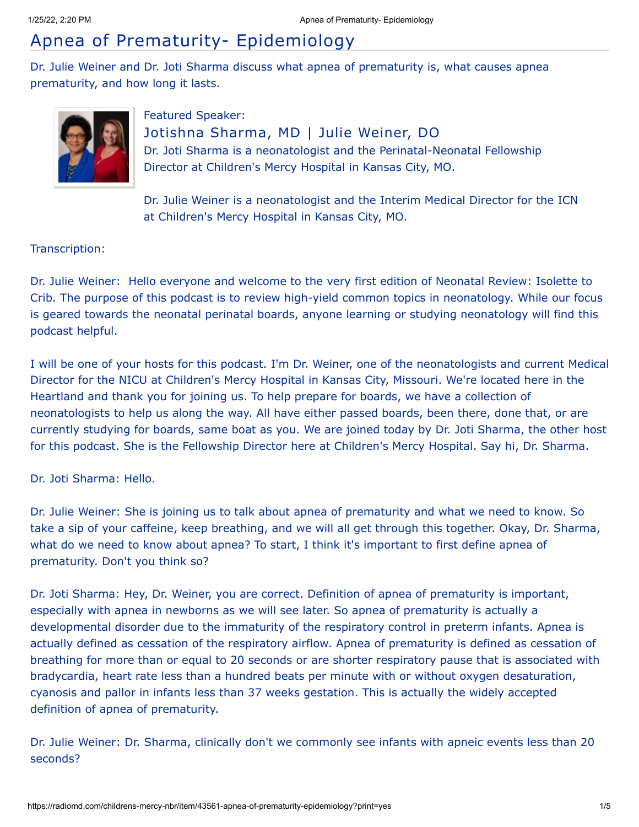## Apnea of Prematurity- Epidemiology

Dr. Julie Weiner and Dr. Joti Sharma discuss what apnea of prematurity is, what causes apnea prematurity, and how long it lasts.



Featured Speaker: Jotishna Sharma, MD | Julie Weiner, DO Dr. Joti Sharma is a neonatologist and the Perinatal-Neonatal Fellowship Director at Children's Mercy Hospital in Kansas City, MO.

Dr. Julie Weiner is a neonatologist and the Interim Medical Director for the ICN at Children's Mercy Hospital in Kansas City, MO.

## Transcription:

Dr. Julie Weiner: Hello everyone and welcome to the very first edition of Neonatal Review: Isolette to Crib. The purpose of this podcast is to review high-yield common topics in neonatology. While our focus is geared towards the neonatal perinatal boards, anyone learning or studying neonatology will find this podcast helpful.

I will be one of your hosts for this podcast. I'm Dr. Weiner, one of the neonatologists and current Medical Director for the NICU at Children's Mercy Hospital in Kansas City, Missouri. We're located here in the Heartland and thank you for joining us. To help prepare for boards, we have a collection of neonatologists to help us along the way. All have either passed boards, been there, done that, or are currently studying for boards, same boat as you. We are joined today by Dr. Joti Sharma, the other host for this podcast. She is the Fellowship Director here at Children's Mercy Hospital. Say hi, Dr. Sharma.

Dr. Joti Sharma: Hello.

Dr. Julie Weiner: She is joining us to talk about apnea of prematurity and what we need to know. So take a sip of your caffeine, keep breathing, and we will all get through this together. Okay, Dr. Sharma, what do we need to know about apnea? To start, I think it's important to first define apnea of prematurity. Don't you think so?

Dr. Joti Sharma: Hey, Dr. Weiner, you are correct. Definition of apnea of prematurity is important, especially with apnea in newborns as we will see later. So apnea of prematurity is actually a developmental disorder due to the immaturity of the respiratory control in preterm infants. Apnea is actually defined as cessation of the respiratory airflow. Apnea of prematurity is defined as cessation of breathing for more than or equal to 20 seconds or are shorter respiratory pause that is associated with bradycardia, heart rate less than a hundred beats per minute with or without oxygen desaturation, cyanosis and pallor in infants less than 37 weeks gestation. This is actually the widely accepted definition of apnea of prematurity.

Dr. Julie Weiner: Dr. Sharma, clinically don't we commonly see infants with apneic events less than 20 seconds?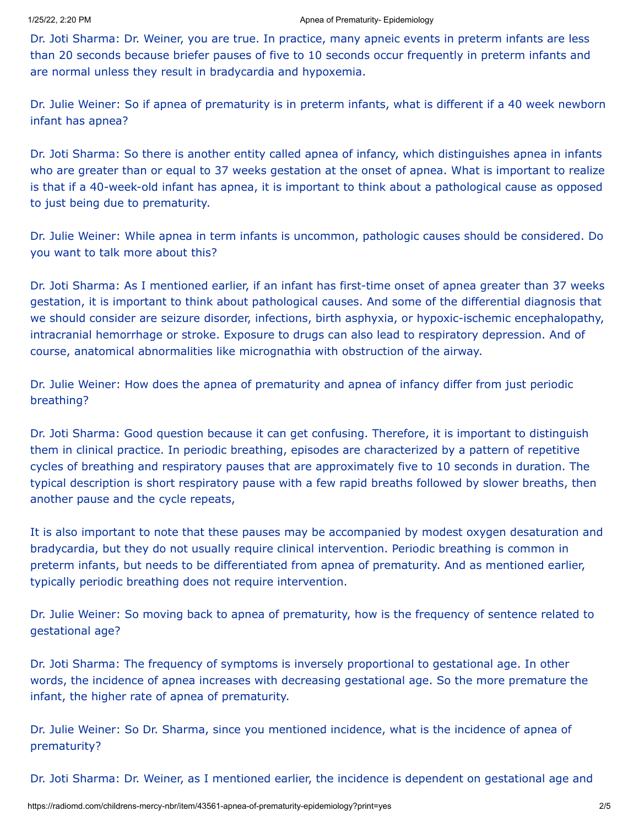Dr. Joti Sharma: Dr. Weiner, you are true. In practice, many apneic events in preterm infants are less than 20 seconds because briefer pauses of five to 10 seconds occur frequently in preterm infants and are normal unless they result in bradycardia and hypoxemia.

Dr. Julie Weiner: So if apnea of prematurity is in preterm infants, what is different if a 40 week newborn infant has apnea?

Dr. Joti Sharma: So there is another entity called apnea of infancy, which distinguishes apnea in infants who are greater than or equal to 37 weeks gestation at the onset of apnea. What is important to realize is that if a 40-week-old infant has apnea, it is important to think about a pathological cause as opposed to just being due to prematurity.

Dr. Julie Weiner: While apnea in term infants is uncommon, pathologic causes should be considered. Do you want to talk more about this?

Dr. Joti Sharma: As I mentioned earlier, if an infant has first-time onset of apnea greater than 37 weeks gestation, it is important to think about pathological causes. And some of the differential diagnosis that we should consider are seizure disorder, infections, birth asphyxia, or hypoxic-ischemic encephalopathy, intracranial hemorrhage or stroke. Exposure to drugs can also lead to respiratory depression. And of course, anatomical abnormalities like micrognathia with obstruction of the airway.

Dr. Julie Weiner: How does the apnea of prematurity and apnea of infancy differ from just periodic breathing?

Dr. Joti Sharma: Good question because it can get confusing. Therefore, it is important to distinguish them in clinical practice. In periodic breathing, episodes are characterized by a pattern of repetitive cycles of breathing and respiratory pauses that are approximately five to 10 seconds in duration. The typical description is short respiratory pause with a few rapid breaths followed by slower breaths, then another pause and the cycle repeats,

It is also important to note that these pauses may be accompanied by modest oxygen desaturation and bradycardia, but they do not usually require clinical intervention. Periodic breathing is common in preterm infants, but needs to be differentiated from apnea of prematurity. And as mentioned earlier, typically periodic breathing does not require intervention.

Dr. Julie Weiner: So moving back to apnea of prematurity, how is the frequency of sentence related to gestational age?

Dr. Joti Sharma: The frequency of symptoms is inversely proportional to gestational age. In other words, the incidence of apnea increases with decreasing gestational age. So the more premature the infant, the higher rate of apnea of prematurity.

Dr. Julie Weiner: So Dr. Sharma, since you mentioned incidence, what is the incidence of apnea of prematurity?

Dr. Joti Sharma: Dr. Weiner, as I mentioned earlier, the incidence is dependent on gestational age and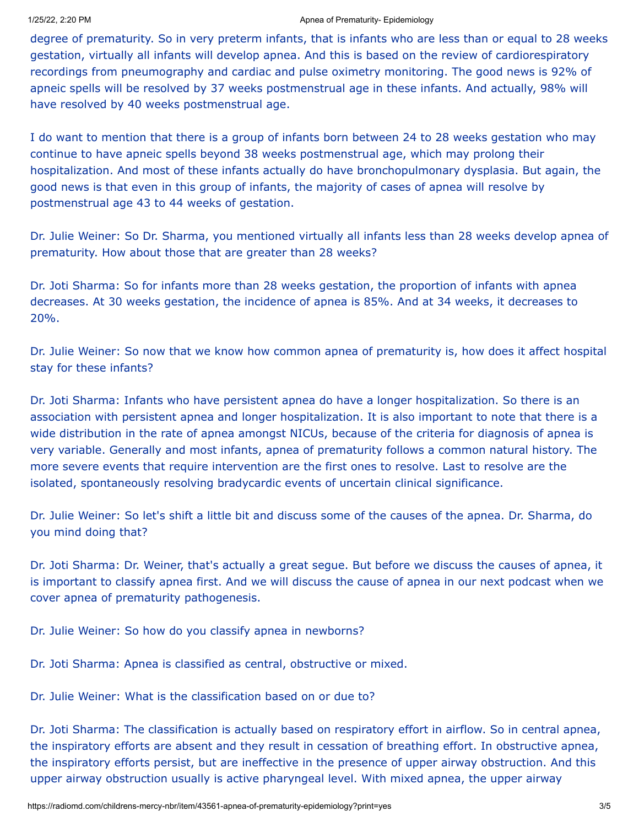## 1/25/22, 2:20 PM **Apple 2:20 PM** Apple 2:20 PM Apple 2:20 PM Apple 2:30 PM Apple 2:30 PM Apple 2:30 PM Apple 2:30 PM Apple 2:30 PM Apple 2:30 PM Apple 2:30 PM Apple 2:30 PM Apple 2:30 PM Apple 2:30 PM Apple 2:30 PM Apple 2

degree of prematurity. So in very preterm infants, that is infants who are less than or equal to 28 weeks gestation, virtually all infants will develop apnea. And this is based on the review of cardiorespiratory recordings from pneumography and cardiac and pulse oximetry monitoring. The good news is 92% of apneic spells will be resolved by 37 weeks postmenstrual age in these infants. And actually, 98% will have resolved by 40 weeks postmenstrual age.

I do want to mention that there is a group of infants born between 24 to 28 weeks gestation who may continue to have apneic spells beyond 38 weeks postmenstrual age, which may prolong their hospitalization. And most of these infants actually do have bronchopulmonary dysplasia. But again, the good news is that even in this group of infants, the majority of cases of apnea will resolve by postmenstrual age 43 to 44 weeks of gestation.

Dr. Julie Weiner: So Dr. Sharma, you mentioned virtually all infants less than 28 weeks develop apnea of prematurity. How about those that are greater than 28 weeks?

Dr. Joti Sharma: So for infants more than 28 weeks gestation, the proportion of infants with apnea decreases. At 30 weeks gestation, the incidence of apnea is 85%. And at 34 weeks, it decreases to 20%.

Dr. Julie Weiner: So now that we know how common apnea of prematurity is, how does it affect hospital stay for these infants?

Dr. Joti Sharma: Infants who have persistent apnea do have a longer hospitalization. So there is an association with persistent apnea and longer hospitalization. It is also important to note that there is a wide distribution in the rate of apnea amongst NICUs, because of the criteria for diagnosis of apnea is very variable. Generally and most infants, apnea of prematurity follows a common natural history. The more severe events that require intervention are the first ones to resolve. Last to resolve are the isolated, spontaneously resolving bradycardic events of uncertain clinical significance.

Dr. Julie Weiner: So let's shift a little bit and discuss some of the causes of the apnea. Dr. Sharma, do you mind doing that?

Dr. Joti Sharma: Dr. Weiner, that's actually a great segue. But before we discuss the causes of apnea, it is important to classify apnea first. And we will discuss the cause of apnea in our next podcast when we cover apnea of prematurity pathogenesis.

Dr. Julie Weiner: So how do you classify apnea in newborns?

Dr. Joti Sharma: Apnea is classified as central, obstructive or mixed.

Dr. Julie Weiner: What is the classification based on or due to?

Dr. Joti Sharma: The classification is actually based on respiratory effort in airflow. So in central apnea, the inspiratory efforts are absent and they result in cessation of breathing effort. In obstructive apnea, the inspiratory efforts persist, but are ineffective in the presence of upper airway obstruction. And this upper airway obstruction usually is active pharyngeal level. With mixed apnea, the upper airway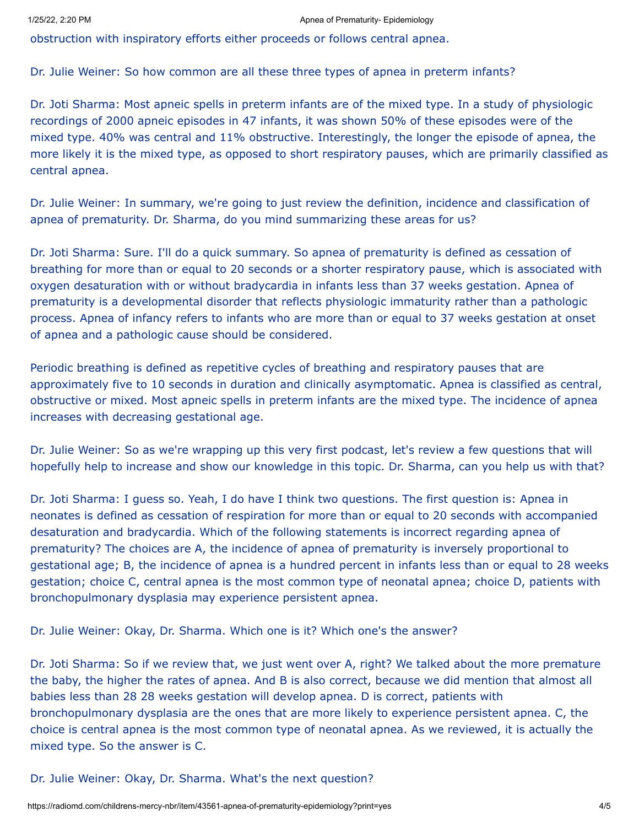obstruction with inspiratory efforts either proceeds or follows central apnea.

Dr. Julie Weiner: So how common are all these three types of apnea in preterm infants?

Dr. Joti Sharma: Most apneic spells in preterm infants are of the mixed type. In a study of physiologic recordings of 2000 apneic episodes in 47 infants, it was shown 50% of these episodes were of the mixed type. 40% was central and 11% obstructive. Interestingly, the longer the episode of apnea, the more likely it is the mixed type, as opposed to short respiratory pauses, which are primarily classified as central apnea.

Dr. Julie Weiner: In summary, we're going to just review the definition, incidence and classification of apnea of prematurity. Dr. Sharma, do you mind summarizing these areas for us?

Dr. Joti Sharma: Sure. I'll do a quick summary. So apnea of prematurity is defined as cessation of breathing for more than or equal to 20 seconds or a shorter respiratory pause, which is associated with oxygen desaturation with or without bradycardia in infants less than 37 weeks gestation. Apnea of prematurity is a developmental disorder that reflects physiologic immaturity rather than a pathologic process. Apnea of infancy refers to infants who are more than or equal to 37 weeks gestation at onset of apnea and a pathologic cause should be considered.

Periodic breathing is defined as repetitive cycles of breathing and respiratory pauses that are approximately five to 10 seconds in duration and clinically asymptomatic. Apnea is classified as central, obstructive or mixed. Most apneic spells in preterm infants are the mixed type. The incidence of apnea increases with decreasing gestational age.

Dr. Julie Weiner: So as we're wrapping up this very first podcast, let's review a few questions that will hopefully help to increase and show our knowledge in this topic. Dr. Sharma, can you help us with that?

Dr. Joti Sharma: I guess so. Yeah, I do have I think two questions. The first question is: Apnea in neonates is defined as cessation of respiration for more than or equal to 20 seconds with accompanied desaturation and bradycardia. Which of the following statements is incorrect regarding apnea of prematurity? The choices are A, the incidence of apnea of prematurity is inversely proportional to gestational age; B, the incidence of apnea is a hundred percent in infants less than or equal to 28 weeks gestation; choice C, central apnea is the most common type of neonatal apnea; choice D, patients with bronchopulmonary dysplasia may experience persistent apnea.

Dr. Julie Weiner: Okay, Dr. Sharma. Which one is it? Which one's the answer?

Dr. Joti Sharma: So if we review that, we just went over A, right? We talked about the more premature the baby, the higher the rates of apnea. And B is also correct, because we did mention that almost all babies less than 28 28 weeks gestation will develop apnea. D is correct, patients with bronchopulmonary dysplasia are the ones that are more likely to experience persistent apnea. C, the choice is central apnea is the most common type of neonatal apnea. As we reviewed, it is actually the mixed type. So the answer is C.

Dr. Julie Weiner: Okay, Dr. Sharma. What's the next question?